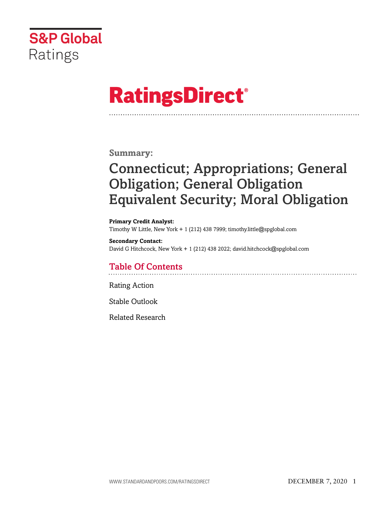

# **RatingsDirect®**

**Summary:**

# Connecticut; Appropriations; General Obligation; General Obligation Equivalent Security; Moral Obligation

**Primary Credit Analyst:** Timothy W Little, New York + 1 (212) 438 7999; timothy.little@spglobal.com

**Secondary Contact:** David G Hitchcock, New York + 1 (212) 438 2022; david.hitchcock@spglobal.com

# Table Of Contents

[Rating Action](#page-1-0)

[Stable Outlook](#page-3-0)

[Related Research](#page-4-0)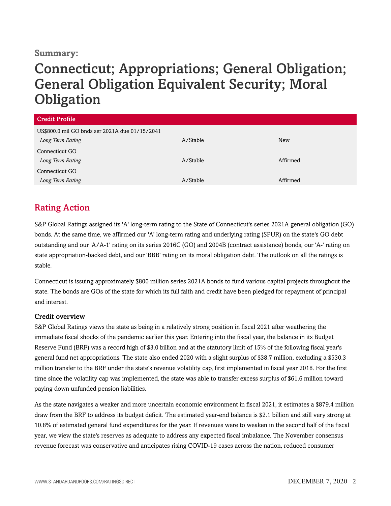#### **Summary:**

# Connecticut; Appropriations; General Obligation; General Obligation Equivalent Security; Moral **Obligation**

| <b>Credit Profile</b>                          |          |            |  |
|------------------------------------------------|----------|------------|--|
| US\$800.0 mil GO bnds ser 2021A due 01/15/2041 |          |            |  |
| Long Term Rating                               | A/Stable | <b>New</b> |  |
| Connecticut GO                                 |          |            |  |
| Long Term Rating                               | A/Stable | Affirmed   |  |
| Connecticut GO                                 |          |            |  |
| Long Term Rating                               | A/Stable | Affirmed   |  |

### <span id="page-1-0"></span>Rating Action

S&P Global Ratings assigned its 'A' long-term rating to the State of Connecticut's series 2021A general obligation (GO) bonds. At the same time, we affirmed our 'A' long-term rating and underlying rating (SPUR) on the state's GO debt outstanding and our 'A/A-1' rating on its series 2016C (GO) and 2004B (contract assistance) bonds, our 'A-' rating on state appropriation-backed debt, and our 'BBB' rating on its moral obligation debt. The outlook on all the ratings is stable.

Connecticut is issuing approximately \$800 million series 2021A bonds to fund various capital projects throughout the state. The bonds are GOs of the state for which its full faith and credit have been pledged for repayment of principal and interest.

#### Credit overview

S&P Global Ratings views the state as being in a relatively strong position in fiscal 2021 after weathering the immediate fiscal shocks of the pandemic earlier this year. Entering into the fiscal year, the balance in its Budget Reserve Fund (BRF) was a record high of \$3.0 billion and at the statutory limit of 15% of the following fiscal year's general fund net appropriations. The state also ended 2020 with a slight surplus of \$38.7 million, excluding a \$530.3 million transfer to the BRF under the state's revenue volatility cap, first implemented in fiscal year 2018. For the first time since the volatility cap was implemented, the state was able to transfer excess surplus of \$61.6 million toward paying down unfunded pension liabilities.

As the state navigates a weaker and more uncertain economic environment in fiscal 2021, it estimates a \$879.4 million draw from the BRF to address its budget deficit. The estimated year-end balance is \$2.1 billion and still very strong at 10.8% of estimated general fund expenditures for the year. If revenues were to weaken in the second half of the fiscal year, we view the state's reserves as adequate to address any expected fiscal imbalance. The November consensus revenue forecast was conservative and anticipates rising COVID-19 cases across the nation, reduced consumer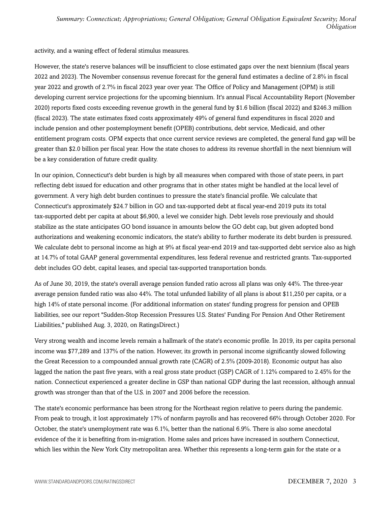activity, and a waning effect of federal stimulus measures.

However, the state's reserve balances will be insufficient to close estimated gaps over the next biennium (fiscal years 2022 and 2023). The November consensus revenue forecast for the general fund estimates a decline of 2.8% in fiscal year 2022 and growth of 2.7% in fiscal 2023 year over year. The Office of Policy and Management (OPM) is still developing current service projections for the upcoming biennium. It's annual Fiscal Accountability Report (November 2020) reports fixed costs exceeding revenue growth in the general fund by \$1.6 billion (fiscal 2022) and \$246.3 million (fiscal 2023). The state estimates fixed costs approximately 49% of general fund expenditures in fiscal 2020 and include pension and other postemployment benefit (OPEB) contributions, debt service, Medicaid, and other entitlement program costs. OPM expects that once current service reviews are completed, the general fund gap will be greater than \$2.0 billion per fiscal year. How the state choses to address its revenue shortfall in the next biennium will be a key consideration of future credit quality.

In our opinion, Connecticut's debt burden is high by all measures when compared with those of state peers, in part reflecting debt issued for education and other programs that in other states might be handled at the local level of government. A very high debt burden continues to pressure the state's financial profile. We calculate that Connecticut's approximately \$24.7 billion in GO and tax-supported debt at fiscal year-end 2019 puts its total tax-supported debt per capita at about \$6,900, a level we consider high. Debt levels rose previously and should stabilize as the state anticipates GO bond issuance in amounts below the GO debt cap, but given adopted bond authorizations and weakening economic indicators, the state's ability to further moderate its debt burden is pressured. We calculate debt to personal income as high at 9% at fiscal year-end 2019 and tax-supported debt service also as high at 14.7% of total GAAP general governmental expenditures, less federal revenue and restricted grants. Tax-supported debt includes GO debt, capital leases, and special tax-supported transportation bonds.

As of June 30, 2019, the state's overall average pension funded ratio across all plans was only 44%. The three-year average pension funded ratio was also 44%. The total unfunded liability of all plans is about \$11,250 per capita, or a high 14% of state personal income. (For additional information on states' funding progress for pension and OPEB liabilities, see our report "Sudden-Stop Recession Pressures U.S. States' Funding For Pension And Other Retirement Liabilities," published Aug. 3, 2020, on RatingsDirect.)

Very strong wealth and income levels remain a hallmark of the state's economic profile. In 2019, its per capita personal income was \$77,289 and 137% of the nation. However, its growth in personal income significantly slowed following the Great Recession to a compounded annual growth rate (CAGR) of 2.5% (2009-2018). Economic output has also lagged the nation the past five years, with a real gross state product (GSP) CAGR of 1.12% compared to 2.45% for the nation. Connecticut experienced a greater decline in GSP than national GDP during the last recession, although annual growth was stronger than that of the U.S. in 2007 and 2006 before the recession.

The state's economic performance has been strong for the Northeast region relative to peers during the pandemic. From peak to trough, it lost approximately 17% of nonfarm payrolls and has recovered 66% through October 2020. For October, the state's unemployment rate was 6.1%, better than the national 6.9%. There is also some anecdotal evidence of the it is benefiting from in-migration. Home sales and prices have increased in southern Connecticut, which lies within the New York City metropolitan area. Whether this represents a long-term gain for the state or a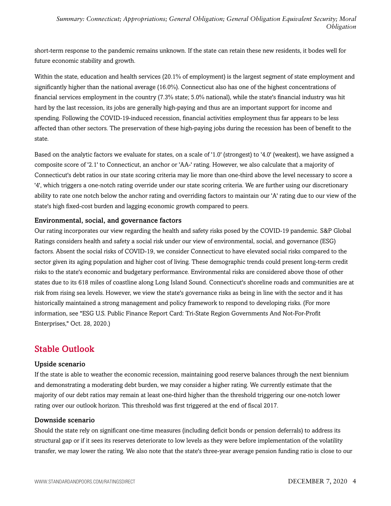short-term response to the pandemic remains unknown. If the state can retain these new residents, it bodes well for future economic stability and growth.

Within the state, education and health services (20.1% of employment) is the largest segment of state employment and significantly higher than the national average (16.0%). Connecticut also has one of the highest concentrations of financial services employment in the country (7.3% state; 5.0% national), while the state's financial industry was hit hard by the last recession, its jobs are generally high-paying and thus are an important support for income and spending. Following the COVID-19-induced recession, financial activities employment thus far appears to be less affected than other sectors. The preservation of these high-paying jobs during the recession has been of benefit to the state.

Based on the analytic factors we evaluate for states, on a scale of '1.0' (strongest) to '4.0' (weakest), we have assigned a composite score of '2.1' to Connecticut, an anchor or 'AA-' rating. However, we also calculate that a majority of Connecticut's debt ratios in our state scoring criteria may lie more than one-third above the level necessary to score a '4', which triggers a one-notch rating override under our state scoring criteria. We are further using our discretionary ability to rate one notch below the anchor rating and overriding factors to maintain our 'A' rating due to our view of the state's high fixed-cost burden and lagging economic growth compared to peers.

#### Environmental, social, and governance factors

Our rating incorporates our view regarding the health and safety risks posed by the COVID-19 pandemic. S&P Global Ratings considers health and safety a social risk under our view of environmental, social, and governance (ESG) factors. Absent the social risks of COVID-19, we consider Connecticut to have elevated social risks compared to the sector given its aging population and higher cost of living. These demographic trends could present long-term credit risks to the state's economic and budgetary performance. Environmental risks are considered above those of other states due to its 618 miles of coastline along Long Island Sound. Connecticut's shoreline roads and communities are at risk from rising sea levels. However, we view the state's governance risks as being in line with the sector and it has historically maintained a strong management and policy framework to respond to developing risks. (For more information, see "ESG U.S. Public Finance Report Card: Tri-State Region Governments And Not-For-Profit Enterprises," Oct. 28, 2020.)

### <span id="page-3-0"></span>Stable Outlook

#### Upside scenario

If the state is able to weather the economic recession, maintaining good reserve balances through the next biennium and demonstrating a moderating debt burden, we may consider a higher rating. We currently estimate that the majority of our debt ratios may remain at least one-third higher than the threshold triggering our one-notch lower rating over our outlook horizon. This threshold was first triggered at the end of fiscal 2017.

#### Downside scenario

Should the state rely on significant one-time measures (including deficit bonds or pension deferrals) to address its structural gap or if it sees its reserves deteriorate to low levels as they were before implementation of the volatility transfer, we may lower the rating. We also note that the state's three-year average pension funding ratio is close to our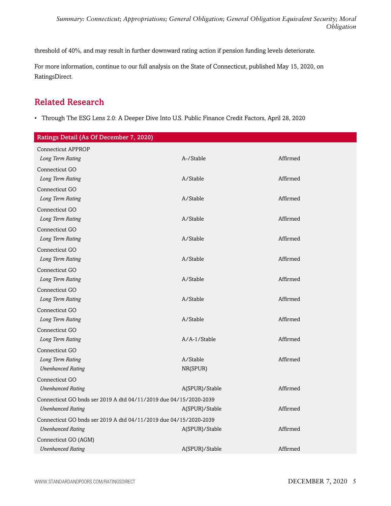threshold of 40%, and may result in further downward rating action if pension funding levels deteriorate.

For more information, continue to our full analysis on the State of Connecticut, published May 15, 2020, on RatingsDirect.

# <span id="page-4-0"></span>Related Research

• Through The ESG Lens 2.0: A Deeper Dive Into U.S. Public Finance Credit Factors, April 28, 2020

| Ratings Detail (As Of December 7, 2020)                           |                |          |
|-------------------------------------------------------------------|----------------|----------|
| <b>Connecticut APPROP</b>                                         |                |          |
| Long Term Rating                                                  | A-/Stable      | Affirmed |
| Connecticut GO                                                    |                |          |
| Long Term Rating                                                  | A/Stable       | Affirmed |
| Connecticut GO                                                    |                |          |
| Long Term Rating                                                  | A/Stable       | Affirmed |
| Connecticut GO                                                    |                |          |
| Long Term Rating                                                  | A/Stable       | Affirmed |
| Connecticut GO                                                    |                |          |
| Long Term Rating                                                  | A/Stable       | Affirmed |
| Connecticut GO                                                    |                |          |
| Long Term Rating                                                  | A/Stable       | Affirmed |
| Connecticut GO                                                    |                |          |
| Long Term Rating                                                  | A/Stable       | Affirmed |
| Connecticut GO                                                    |                |          |
| Long Term Rating                                                  | A/Stable       | Affirmed |
| Connecticut GO                                                    |                |          |
| Long Term Rating                                                  | A/Stable       | Affirmed |
| Connecticut GO                                                    |                |          |
| Long Term Rating                                                  | A/A-1/Stable   | Affirmed |
| Connecticut GO                                                    |                |          |
| Long Term Rating                                                  | A/Stable       | Affirmed |
| <b>Unenhanced Rating</b>                                          | NR(SPUR)       |          |
| Connecticut GO                                                    |                |          |
| <b>Unenhanced Rating</b>                                          | A(SPUR)/Stable | Affirmed |
| Connecticut GO bnds ser 2019 A dtd 04/11/2019 due 04/15/2020-2039 |                |          |
| <b>Unenhanced Rating</b>                                          | A(SPUR)/Stable | Affirmed |
| Connecticut GO bnds ser 2019 A dtd 04/11/2019 due 04/15/2020-2039 |                |          |
| <b>Unenhanced Rating</b>                                          | A(SPUR)/Stable | Affirmed |
| Connecticut GO (AGM)                                              |                |          |
| <b>Unenhanced Rating</b>                                          | A(SPUR)/Stable | Affirmed |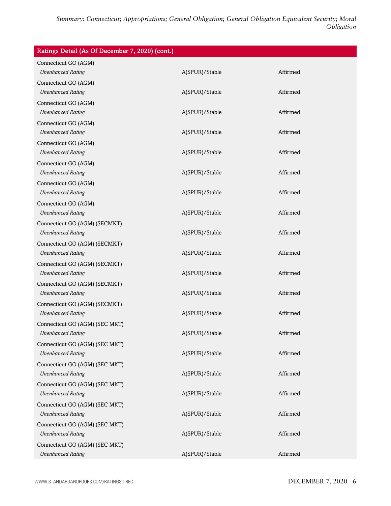| Ratings Detail (As Of December 7, 2020) (cont.) |                |          |
|-------------------------------------------------|----------------|----------|
| Connecticut GO (AGM)                            |                |          |
| <b>Unenhanced Rating</b>                        | A(SPUR)/Stable | Affirmed |
| Connecticut GO (AGM)                            |                |          |
| <b>Unenhanced Rating</b>                        | A(SPUR)/Stable | Affirmed |
| Connecticut GO (AGM)                            |                |          |
| <b>Unenhanced Rating</b>                        | A(SPUR)/Stable | Affirmed |
| Connecticut GO (AGM)                            |                |          |
| <b>Unenhanced Rating</b>                        | A(SPUR)/Stable | Affirmed |
| Connecticut GO (AGM)                            |                |          |
| <b>Unenhanced Rating</b>                        | A(SPUR)/Stable | Affirmed |
| Connecticut GO (AGM)                            |                |          |
| <b>Unenhanced Rating</b>                        | A(SPUR)/Stable | Affirmed |
| Connecticut GO (AGM)                            |                |          |
| <b>Unenhanced Rating</b>                        | A(SPUR)/Stable | Affirmed |
| Connecticut GO (AGM)                            |                |          |
| <b>Unenhanced Rating</b>                        | A(SPUR)/Stable | Affirmed |
| Connecticut GO (AGM) (SECMKT)                   |                |          |
| <b>Unenhanced Rating</b>                        | A(SPUR)/Stable | Affirmed |
| Connecticut GO (AGM) (SECMKT)                   |                |          |
| <b>Unenhanced Rating</b>                        | A(SPUR)/Stable | Affirmed |
| Connecticut GO (AGM) (SECMKT)                   |                |          |
| <b>Unenhanced Rating</b>                        | A(SPUR)/Stable | Affirmed |
| Connecticut GO (AGM) (SECMKT)                   |                |          |
| <b>Unenhanced Rating</b>                        | A(SPUR)/Stable | Affirmed |
| Connecticut GO (AGM) (SECMKT)                   |                |          |
| <b>Unenhanced Rating</b>                        | A(SPUR)/Stable | Affirmed |
| Connecticut GO (AGM) (SEC MKT)                  |                |          |
| <b>Unenhanced Rating</b>                        | A(SPUR)/Stable | Affirmed |
| Connecticut GO (AGM) (SEC MKT)                  |                |          |
| <b>Unenhanced Rating</b>                        | A(SPUR)/Stable | Affirmed |
| Connecticut GO (AGM) (SEC MKT)                  |                |          |
| <b>Unenhanced Rating</b>                        | A(SPUR)/Stable | Affirmed |
| Connecticut GO (AGM) (SEC MKT)                  |                |          |
| <b>Unenhanced Rating</b>                        | A(SPUR)/Stable | Affirmed |
| Connecticut GO (AGM) (SEC MKT)                  |                |          |
| <b>Unenhanced Rating</b>                        | A(SPUR)/Stable | Affirmed |
| Connecticut GO (AGM) (SEC MKT)                  |                |          |
| <b>Unenhanced Rating</b>                        | A(SPUR)/Stable | Affirmed |
| Connecticut GO (AGM) (SEC MKT)                  |                |          |
| <b>Unenhanced Rating</b>                        | A(SPUR)/Stable | Affirmed |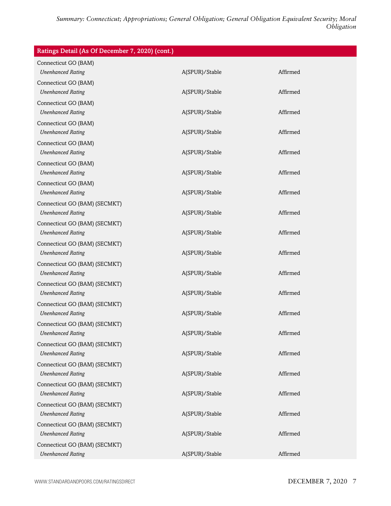| Ratings Detail (As Of December 7, 2020) (cont.) |                |          |
|-------------------------------------------------|----------------|----------|
| Connecticut GO (BAM)                            |                |          |
| <b>Unenhanced Rating</b>                        | A(SPUR)/Stable | Affirmed |
| Connecticut GO (BAM)                            |                |          |
| <b>Unenhanced Rating</b>                        | A(SPUR)/Stable | Affirmed |
| Connecticut GO (BAM)                            |                |          |
| <b>Unenhanced Rating</b>                        | A(SPUR)/Stable | Affirmed |
| Connecticut GO (BAM)                            |                |          |
| <b>Unenhanced Rating</b>                        | A(SPUR)/Stable | Affirmed |
| Connecticut GO (BAM)                            |                |          |
| <b>Unenhanced Rating</b>                        | A(SPUR)/Stable | Affirmed |
| Connecticut GO (BAM)                            |                |          |
| <b>Unenhanced Rating</b>                        | A(SPUR)/Stable | Affirmed |
| Connecticut GO (BAM)                            |                |          |
| <b>Unenhanced Rating</b>                        | A(SPUR)/Stable | Affirmed |
| Connecticut GO (BAM) (SECMKT)                   |                |          |
| <b>Unenhanced Rating</b>                        | A(SPUR)/Stable | Affirmed |
| Connecticut GO (BAM) (SECMKT)                   |                |          |
| <b>Unenhanced Rating</b>                        | A(SPUR)/Stable | Affirmed |
| Connecticut GO (BAM) (SECMKT)                   |                |          |
| <b>Unenhanced Rating</b>                        | A(SPUR)/Stable | Affirmed |
| Connecticut GO (BAM) (SECMKT)                   |                |          |
| <b>Unenhanced Rating</b>                        | A(SPUR)/Stable | Affirmed |
| Connecticut GO (BAM) (SECMKT)                   |                |          |
| <b>Unenhanced Rating</b>                        | A(SPUR)/Stable | Affirmed |
| Connecticut GO (BAM) (SECMKT)                   |                |          |
| <b>Unenhanced Rating</b>                        | A(SPUR)/Stable | Affirmed |
| Connecticut GO (BAM) (SECMKT)                   |                |          |
| <b>Unenhanced Rating</b>                        | A(SPUR)/Stable | Affirmed |
| Connecticut GO (BAM) (SECMKT)                   |                |          |
| <b>Unenhanced Rating</b>                        | A(SPUR)/Stable | Affirmed |
| Connecticut GO (BAM) (SECMKT)                   |                |          |
| <b>Unenhanced Rating</b>                        | A(SPUR)/Stable | Affirmed |
| Connecticut GO (BAM) (SECMKT)                   |                |          |
| <b>Unenhanced Rating</b>                        | A(SPUR)/Stable | Affirmed |
| Connecticut GO (BAM) (SECMKT)                   |                |          |
| <b>Unenhanced Rating</b>                        | A(SPUR)/Stable | Affirmed |
| Connecticut GO (BAM) (SECMKT)                   |                |          |
| <b>Unenhanced Rating</b>                        | A(SPUR)/Stable | Affirmed |
| Connecticut GO (BAM) (SECMKT)                   |                |          |
| <b>Unenhanced Rating</b>                        | A(SPUR)/Stable | Affirmed |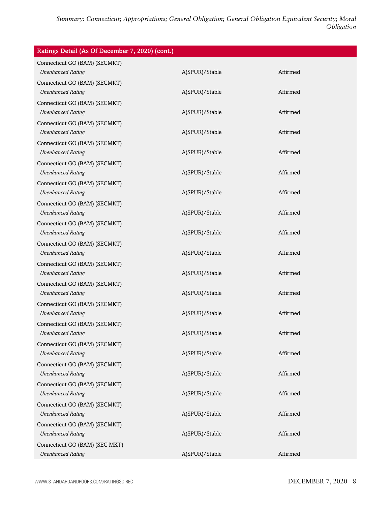| Ratings Detail (As Of December 7, 2020) (cont.)           |                |          |  |
|-----------------------------------------------------------|----------------|----------|--|
| Connecticut GO (BAM) (SECMKT)                             |                |          |  |
| <b>Unenhanced Rating</b>                                  | A(SPUR)/Stable | Affirmed |  |
| Connecticut GO (BAM) (SECMKT)                             |                |          |  |
| <b>Unenhanced Rating</b>                                  | A(SPUR)/Stable | Affirmed |  |
| Connecticut GO (BAM) (SECMKT)                             |                |          |  |
| <b>Unenhanced Rating</b>                                  | A(SPUR)/Stable | Affirmed |  |
| Connecticut GO (BAM) (SECMKT)                             |                |          |  |
| <b>Unenhanced Rating</b>                                  | A(SPUR)/Stable | Affirmed |  |
| Connecticut GO (BAM) (SECMKT)                             |                | Affirmed |  |
| <b>Unenhanced Rating</b>                                  | A(SPUR)/Stable |          |  |
| Connecticut GO (BAM) (SECMKT)<br><b>Unenhanced Rating</b> | A(SPUR)/Stable | Affirmed |  |
|                                                           |                |          |  |
| Connecticut GO (BAM) (SECMKT)<br><b>Unenhanced Rating</b> | A(SPUR)/Stable | Affirmed |  |
| Connecticut GO (BAM) (SECMKT)                             |                |          |  |
| <b>Unenhanced Rating</b>                                  | A(SPUR)/Stable | Affirmed |  |
| Connecticut GO (BAM) (SECMKT)                             |                |          |  |
| <b>Unenhanced Rating</b>                                  | A(SPUR)/Stable | Affirmed |  |
| Connecticut GO (BAM) (SECMKT)                             |                |          |  |
| <b>Unenhanced Rating</b>                                  | A(SPUR)/Stable | Affirmed |  |
| Connecticut GO (BAM) (SECMKT)                             |                |          |  |
| <b>Unenhanced Rating</b>                                  | A(SPUR)/Stable | Affirmed |  |
| Connecticut GO (BAM) (SECMKT)                             |                |          |  |
| <b>Unenhanced Rating</b>                                  | A(SPUR)/Stable | Affirmed |  |
| Connecticut GO (BAM) (SECMKT)                             |                |          |  |
| <b>Unenhanced Rating</b>                                  | A(SPUR)/Stable | Affirmed |  |
| Connecticut GO (BAM) (SECMKT)                             |                |          |  |
| <b>Unenhanced Rating</b>                                  | A(SPUR)/Stable | Affirmed |  |
| Connecticut GO (BAM) (SECMKT)                             |                |          |  |
| <b>Unenhanced Rating</b>                                  | A(SPUR)/Stable | Affirmed |  |
| Connecticut GO (BAM) (SECMKT)                             |                |          |  |
| <b>Unenhanced Rating</b>                                  | A(SPUR)/Stable | Affirmed |  |
| Connecticut GO (BAM) (SECMKT)                             |                |          |  |
| <b>Unenhanced Rating</b>                                  | A(SPUR)/Stable | Affirmed |  |
| Connecticut GO (BAM) (SECMKT)<br><b>Unenhanced Rating</b> |                | Affirmed |  |
|                                                           | A(SPUR)/Stable |          |  |
| Connecticut GO (BAM) (SECMKT)<br><b>Unenhanced Rating</b> | A(SPUR)/Stable | Affirmed |  |
| Connecticut GO (BAM) (SEC MKT)                            |                |          |  |
| <b>Unenhanced Rating</b>                                  | A(SPUR)/Stable | Affirmed |  |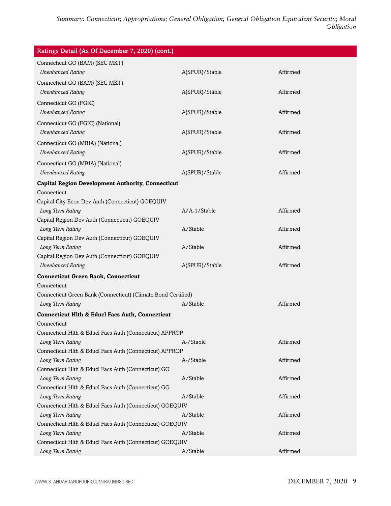| Ratings Detail (As Of December 7, 2020) (cont.)                                   |                |          |  |
|-----------------------------------------------------------------------------------|----------------|----------|--|
| Connecticut GO (BAM) (SEC MKT)                                                    |                |          |  |
| <b>Unenhanced Rating</b>                                                          | A(SPUR)/Stable | Affirmed |  |
| Connecticut GO (BAM) (SEC MKT)                                                    |                |          |  |
| <b>Unenhanced Rating</b>                                                          | A(SPUR)/Stable | Affirmed |  |
| Connecticut GO (FGIC)                                                             |                |          |  |
| <b>Unenhanced Rating</b>                                                          | A(SPUR)/Stable | Affirmed |  |
| Connecticut GO (FGIC) (National)                                                  |                |          |  |
| <b>Unenhanced Rating</b>                                                          | A(SPUR)/Stable | Affirmed |  |
| Connecticut GO (MBIA) (National)                                                  |                |          |  |
| <b>Unenhanced Rating</b>                                                          | A(SPUR)/Stable | Affirmed |  |
| Connecticut GO (MBIA) (National)                                                  |                |          |  |
| <b>Unenhanced Rating</b>                                                          | A(SPUR)/Stable | Affirmed |  |
| <b>Capital Region Development Authority, Connecticut</b>                          |                |          |  |
| Connecticut                                                                       |                |          |  |
| Capital City Econ Dev Auth (Connecticut) GOEQUIV                                  |                |          |  |
| Long Term Rating                                                                  | A/A-1/Stable   | Affirmed |  |
| Capital Region Dev Auth (Connecticut) GOEQUIV                                     |                |          |  |
| Long Term Rating                                                                  | A/Stable       | Affirmed |  |
| Capital Region Dev Auth (Connecticut) GOEQUIV                                     |                |          |  |
| Long Term Rating                                                                  | A/Stable       | Affirmed |  |
| Capital Region Dev Auth (Connecticut) GOEQUIV                                     |                |          |  |
| <b>Unenhanced Rating</b>                                                          | A(SPUR)/Stable | Affirmed |  |
| <b>Connecticut Green Bank, Connecticut</b>                                        |                |          |  |
| Connecticut                                                                       |                |          |  |
| Connecticut Green Bank (Connecticut) (Climate Bond Certified)<br>Long Term Rating | A/Stable       | Affirmed |  |
|                                                                                   |                |          |  |
| <b>Connecticut Hlth &amp; Educl Facs Auth, Connecticut</b>                        |                |          |  |
| Connecticut<br>Connecticut Hlth & Educl Facs Auth (Connecticut) APPROP            |                |          |  |
| Long Term Rating                                                                  | A-/Stable      | Affirmed |  |
| Connecticut Hlth & Educl Facs Auth (Connecticut) APPROP                           |                |          |  |
| Long Term Rating                                                                  | A-/Stable      | Affirmed |  |
| Connecticut Hlth & Educl Facs Auth (Connecticut) GO                               |                |          |  |
| Long Term Rating                                                                  | A/Stable       | Affirmed |  |
| Connecticut Hlth & Educl Facs Auth (Connecticut) GO                               |                |          |  |
| Long Term Rating                                                                  | A/Stable       | Affirmed |  |
| Connecticut Hlth & Educl Facs Auth (Connecticut) GOEQUIV                          |                |          |  |
| Long Term Rating                                                                  | A/Stable       | Affirmed |  |
| Connecticut Hlth & Educl Facs Auth (Connecticut) GOEQUIV                          |                |          |  |
| Long Term Rating                                                                  | A/Stable       | Affirmed |  |
| Connecticut Hlth & Educl Facs Auth (Connecticut) GOEQUIV<br>Long Term Rating      | A/Stable       | Affirmed |  |
|                                                                                   |                |          |  |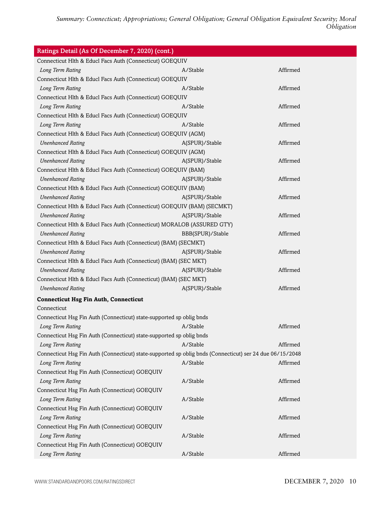| Ratings Detail (As Of December 7, 2020) (cont.)                                                          |                  |          |
|----------------------------------------------------------------------------------------------------------|------------------|----------|
| Connecticut Hlth & Educl Facs Auth (Connecticut) GOEQUIV                                                 |                  |          |
| Long Term Rating                                                                                         | A/Stable         | Affirmed |
| Connecticut Hlth & Educl Facs Auth (Connecticut) GOEQUIV                                                 |                  |          |
| Long Term Rating                                                                                         | A/Stable         | Affirmed |
| Connecticut Hlth & Educl Facs Auth (Connecticut) GOEQUIV                                                 |                  |          |
| Long Term Rating                                                                                         | A/Stable         | Affirmed |
| Connecticut Hlth & Educl Facs Auth (Connecticut) GOEQUIV                                                 |                  |          |
| Long Term Rating                                                                                         | A/Stable         | Affirmed |
| Connecticut Hlth & Educl Facs Auth (Connecticut) GOEQUIV (AGM)                                           |                  |          |
| <b>Unenhanced Rating</b>                                                                                 | A(SPUR)/Stable   | Affirmed |
| Connecticut Hlth & Educl Facs Auth (Connecticut) GOEQUIV (AGM)                                           |                  |          |
| <b>Unenhanced Rating</b>                                                                                 | A(SPUR)/Stable   | Affirmed |
| Connecticut Hlth & Educl Facs Auth (Connecticut) GOEQUIV (BAM)                                           |                  |          |
| <b>Unenhanced Rating</b>                                                                                 | A(SPUR)/Stable   | Affirmed |
| Connecticut Hlth & Educl Facs Auth (Connecticut) GOEQUIV (BAM)                                           |                  |          |
| <b>Unenhanced Rating</b>                                                                                 | A(SPUR)/Stable   | Affirmed |
| Connecticut Hlth & Educl Facs Auth (Connecticut) GOEQUIV (BAM) (SECMKT)                                  |                  |          |
| <b>Unenhanced Rating</b>                                                                                 | A(SPUR)/Stable   | Affirmed |
| Connecticut Hlth & Educl Facs Auth (Connecticut) MORALOB (ASSURED GTY)                                   |                  |          |
| <b>Unenhanced Rating</b>                                                                                 | BBB(SPUR)/Stable | Affirmed |
| Connecticut Hlth & Educl Facs Auth (Connecticut) (BAM) (SECMKT)                                          |                  |          |
| <b>Unenhanced Rating</b>                                                                                 | A(SPUR)/Stable   | Affirmed |
| Connecticut Hlth & Educl Facs Auth (Connecticut) (BAM) (SEC MKT)                                         |                  |          |
| <b>Unenhanced Rating</b>                                                                                 | A(SPUR)/Stable   | Affirmed |
| Connecticut Hlth & Educl Facs Auth (Connecticut) (BAM) (SEC MKT)                                         |                  |          |
| <b>Unenhanced Rating</b>                                                                                 | A(SPUR)/Stable   | Affirmed |
| <b>Connecticut Hsg Fin Auth, Connecticut</b>                                                             |                  |          |
| Connecticut                                                                                              |                  |          |
| Connecticut Hsg Fin Auth (Connecticut) state-supported sp oblig bnds                                     |                  |          |
| Long Term Rating                                                                                         | A/Stable         | Affirmed |
| Connecticut Hsg Fin Auth (Connecticut) state-supported sp oblig bnds                                     |                  |          |
| Long Term Rating                                                                                         | A/Stable         | Affirmed |
| Connecticut Hsg Fin Auth (Connecticut) state-supported sp oblig bnds (Connecticut) ser 24 due 06/15/2048 |                  |          |
| Long Term Rating                                                                                         | A/Stable         | Affirmed |
| Connecticut Hsg Fin Auth (Connecticut) GOEQUIV                                                           |                  |          |
| Long Term Rating                                                                                         | A/Stable         | Affirmed |
| Connecticut Hsg Fin Auth (Connecticut) GOEQUIV                                                           |                  |          |
| Long Term Rating                                                                                         | A/Stable         | Affirmed |
| Connecticut Hsg Fin Auth (Connecticut) GOEQUIV                                                           |                  |          |
| Long Term Rating                                                                                         | A/Stable         | Affirmed |
| Connecticut Hsg Fin Auth (Connecticut) GOEQUIV                                                           |                  |          |
| Long Term Rating                                                                                         | A/Stable         | Affirmed |
| Connecticut Hsg Fin Auth (Connecticut) GOEQUIV                                                           |                  |          |
| Long Term Rating                                                                                         | A/Stable         | Affirmed |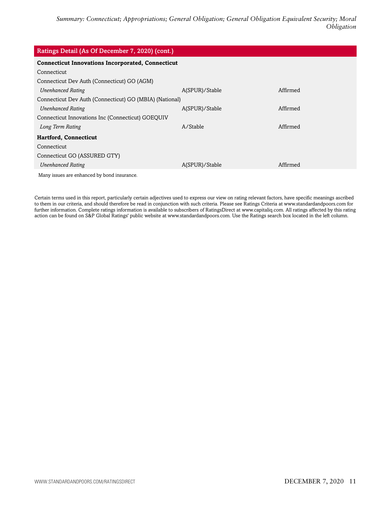| Ratings Detail (As Of December 7, 2020) (cont.)          |                |          |  |
|----------------------------------------------------------|----------------|----------|--|
| <b>Connecticut Innovations Incorporated, Connecticut</b> |                |          |  |
| Connecticut                                              |                |          |  |
| Connecticut Dev Auth (Connecticut) GO (AGM)              |                |          |  |
| <b>Unenhanced Rating</b>                                 | A(SPUR)/Stable | Affirmed |  |
| Connecticut Dev Auth (Connecticut) GO (MBIA) (National)  |                |          |  |
| <b>Unenhanced Rating</b>                                 | A(SPUR)/Stable | Affirmed |  |
| Connecticut Innovations Inc (Connecticut) GOEQUIV        |                |          |  |
| Long Term Rating                                         | A/Stable       | Affirmed |  |
| <b>Hartford, Connecticut</b>                             |                |          |  |
| Connecticut                                              |                |          |  |
| Connecticut GO (ASSURED GTY)                             |                |          |  |
| <b>Unenhanced Rating</b>                                 | A(SPUR)/Stable | Affirmed |  |
| Many issues are enhanced by bond insurance.              |                |          |  |

Certain terms used in this report, particularly certain adjectives used to express our view on rating relevant factors, have specific meanings ascribed to them in our criteria, and should therefore be read in conjunction with such criteria. Please see Ratings Criteria at www.standardandpoors.com for further information. Complete ratings information is available to subscribers of RatingsDirect at www.capitaliq.com. All ratings affected by this rating action can be found on S&P Global Ratings' public website at www.standardandpoors.com. Use the Ratings search box located in the left column.